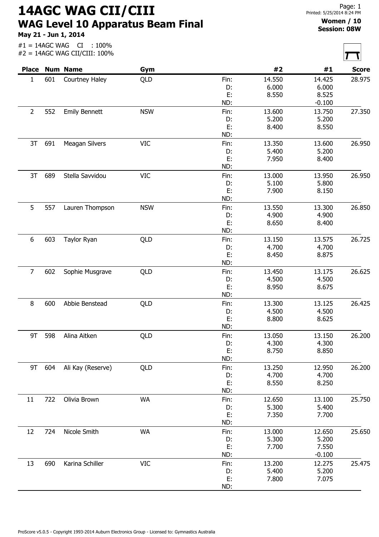14AGC WAG CII/CIII WAG Level 10 Apparatus Beam Final

May 21 - Jun 1, 2014

Page: 1 Printed: 5/25/2014 8:24 PM

## Women / 10 Session: 08W

| <b>Place</b>     |     |                      |            |          |                |                |              |
|------------------|-----|----------------------|------------|----------|----------------|----------------|--------------|
|                  |     | <b>Num Name</b>      | Gym        |          | #2             | #1             | <b>Score</b> |
| 1                | 601 | Courtney Haley       | QLD        | Fin:     | 14.550         | 14.425         | 28.975       |
|                  |     |                      |            | D:       | 6.000          | 6.000          |              |
|                  |     |                      |            | E:       | 8.550          | 8.525          |              |
|                  |     |                      |            | ND:      |                | $-0.100$       |              |
| $\overline{2}$   | 552 | <b>Emily Bennett</b> | <b>NSW</b> | Fin:     | 13.600         | 13.750         | 27.350       |
|                  |     |                      |            | D:<br>E: | 5.200<br>8.400 | 5.200<br>8.550 |              |
|                  |     |                      |            | ND:      |                |                |              |
| 3T               | 691 | Meagan Silvers       | <b>VIC</b> | Fin:     | 13.350         | 13.600         | 26.950       |
|                  |     |                      |            | D:       | 5.400          | 5.200          |              |
|                  |     |                      |            | E:       | 7.950          | 8.400          |              |
|                  |     |                      |            | ND:      |                |                |              |
| 3T               | 689 | Stella Savvidou      | <b>VIC</b> | Fin:     | 13.000         | 13.950         | 26.950       |
|                  |     |                      |            | D:       | 5.100          | 5.800          |              |
|                  |     |                      |            | E:       | 7.900          | 8.150          |              |
|                  |     |                      |            | ND:      |                |                |              |
| 5                | 557 | Lauren Thompson      | <b>NSW</b> | Fin:     | 13.550         | 13.300         | 26.850       |
|                  |     |                      |            | D:       | 4.900          | 4.900          |              |
|                  |     |                      |            | E:       | 8.650          | 8.400          |              |
|                  |     |                      |            | ND:      |                |                |              |
| $\boldsymbol{6}$ | 603 | Taylor Ryan          | QLD        | Fin:     | 13.150         | 13.575         | 26.725       |
|                  |     |                      |            | D:       | 4.700          | 4.700          |              |
|                  |     |                      |            | E:       | 8.450          | 8.875          |              |
|                  |     |                      |            | ND:      |                |                |              |
| $\overline{7}$   | 602 | Sophie Musgrave      | QLD        | Fin:     | 13.450         | 13.175         | 26.625       |
|                  |     |                      |            | D:       | 4.500          | 4.500          |              |
|                  |     |                      |            | E:       | 8.950          | 8.675          |              |
|                  |     |                      |            | ND:      |                |                |              |
| 8                | 600 | Abbie Benstead       | QLD        | Fin:     | 13.300         | 13.125         | 26.425       |
|                  |     |                      |            | D:<br>E: | 4.500<br>8.800 | 4.500<br>8.625 |              |
|                  |     |                      |            | ND:      |                |                |              |
| 9T               | 598 | Alina Aitken         | QLD        | Fin:     | 13.050         | 13.150         | 26.200       |
|                  |     |                      |            | D:       | 4.300          | 4.300          |              |
|                  |     |                      |            | E:       | 8.750          | 8.850          |              |
|                  |     |                      |            | ND:      |                |                |              |
| 9T               | 604 | Ali Kay (Reserve)    | QLD        | Fin:     | 13.250         | 12.950         | 26.200       |
|                  |     |                      |            | D:       | 4.700          | 4.700          |              |
|                  |     |                      |            | E:       | 8.550          | 8.250          |              |
|                  |     |                      |            | ND:      |                |                |              |
| 11               | 722 | Olivia Brown         | <b>WA</b>  | Fin:     | 12.650         | 13.100         | 25.750       |
|                  |     |                      |            | D:       | 5.300          | 5.400          |              |
|                  |     |                      |            | E:       | 7.350          | 7.700          |              |
|                  |     |                      |            | ND:      |                |                |              |
| 12               | 724 | Nicole Smith         | <b>WA</b>  | Fin:     | 13.000         | 12.650         | 25.650       |
|                  |     |                      |            | D:       | 5.300          | 5.200          |              |
|                  |     |                      |            | E:       | 7.700          | 7.550          |              |
|                  |     |                      |            |          |                |                |              |
|                  |     |                      |            | ND:      |                | $-0.100$       |              |
| 13               | 690 | Karina Schiller      | <b>VIC</b> | Fin:     | 13.200         | 12.275         | 25.475       |
|                  |     |                      |            | D:<br>E: | 5.400<br>7.800 | 5.200<br>7.075 |              |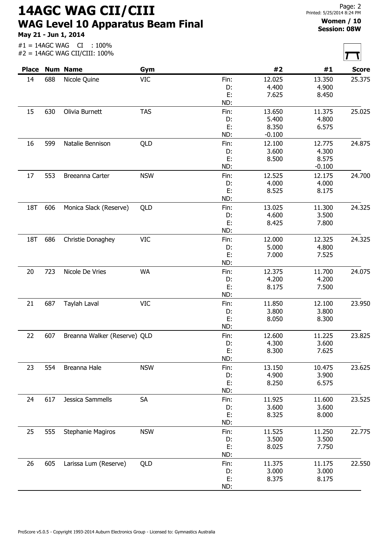14AGC WAG CII/CIII WAG Level 10 Apparatus Beam Final

May 21 - Jun 1, 2014

## Women / 10 Session: 08W

|     |     | Place Num Name               | Gym        |            | #2                | #1              | <b>Score</b> |
|-----|-----|------------------------------|------------|------------|-------------------|-----------------|--------------|
| 14  | 688 | Nicole Quine                 | <b>VIC</b> | Fin:       | 12.025            | 13.350          | 25.375       |
|     |     |                              |            | D:         | 4.400             | 4.900           |              |
|     |     |                              |            | E:         | 7.625             | 8.450           |              |
|     |     |                              |            | ND:        |                   |                 |              |
| 15  | 630 | Olivia Burnett               | <b>TAS</b> | Fin:       | 13.650            | 11.375          | 25.025       |
|     |     |                              |            | D:         | 5.400             | 4.800           |              |
|     |     |                              |            | E:<br>ND:  | 8.350<br>$-0.100$ | 6.575           |              |
| 16  | 599 | Natalie Bennison             | QLD        | Fin:       | 12.100            | 12.775          | 24.875       |
|     |     |                              |            | D:         | 3.600             | 4.300           |              |
|     |     |                              |            | E:         | 8.500             | 8.575           |              |
|     |     |                              |            | ND:        |                   | $-0.100$        |              |
| 17  | 553 | Breeanna Carter              | <b>NSW</b> | Fin:       | 12.525            | 12.175          | 24.700       |
|     |     |                              |            | D:         | 4.000             | 4.000           |              |
|     |     |                              |            | E:         | 8.525             | 8.175           |              |
|     |     |                              |            | ND:        |                   |                 |              |
| 18T | 606 | Monica Slack (Reserve)       | QLD        | Fin:       | 13.025            | 11.300          | 24.325       |
|     |     |                              |            | D:         | 4.600             | 3.500           |              |
|     |     |                              |            | E:         | 8.425             | 7.800           |              |
|     |     |                              |            | ND:        |                   |                 |              |
| 18T | 686 | Christie Donaghey            | VIC        | Fin:<br>D: | 12.000<br>5.000   | 12.325<br>4.800 | 24.325       |
|     |     |                              |            | E:         | 7.000             | 7.525           |              |
|     |     |                              |            | ND:        |                   |                 |              |
| 20  | 723 | Nicole De Vries              | <b>WA</b>  | Fin:       | 12.375            | 11.700          | 24.075       |
|     |     |                              |            | D:         | 4.200             | 4.200           |              |
|     |     |                              |            | E:         | 8.175             | 7.500           |              |
|     |     |                              |            | ND:        |                   |                 |              |
| 21  | 687 | Taylah Laval                 | <b>VIC</b> | Fin:       | 11.850            | 12.100          | 23.950       |
|     |     |                              |            | D:         | 3.800             | 3.800           |              |
|     |     |                              |            | E:         | 8.050             | 8.300           |              |
|     |     |                              |            | ND:        |                   |                 |              |
| 22  | 607 | Breanna Walker (Reserve) QLD |            | Fin:       | 12.600            | 11.225          | 23.825       |
|     |     |                              |            | D:         | 4.300             | 3.600           |              |
|     |     |                              |            | E:<br>ND:  | 8.300             | 7.625           |              |
| 23  | 554 | Breanna Hale                 | <b>NSW</b> | Fin:       | 13.150            | 10.475          | 23.625       |
|     |     |                              |            | D:         | 4.900             | 3.900           |              |
|     |     |                              |            | E:         | 8.250             | 6.575           |              |
|     |     |                              |            | ND:        |                   |                 |              |
| 24  | 617 | Jessica Sammells             | <b>SA</b>  | Fin:       | 11.925            | 11.600          | 23.525       |
|     |     |                              |            | D:         | 3.600             | 3.600           |              |
|     |     |                              |            | E:         | 8.325             | 8.000           |              |
|     |     |                              |            | ND:        |                   |                 |              |
| 25  | 555 | Stephanie Magiros            | <b>NSW</b> | Fin:       | 11.525            | 11.250          | 22.775       |
|     |     |                              |            | D:         | 3.500             | 3.500           |              |
|     |     |                              |            | E:         | 8.025             | 7.750           |              |
|     |     |                              |            | ND:        |                   |                 |              |
| 26  | 605 | Larissa Lum (Reserve)        | QLD        | Fin:       | 11.375            | 11.175          | 22.550       |
|     |     |                              |            | D:         | 3.000             | 3.000           |              |
|     |     |                              |            | E:         | 8.375             | 8.175           |              |